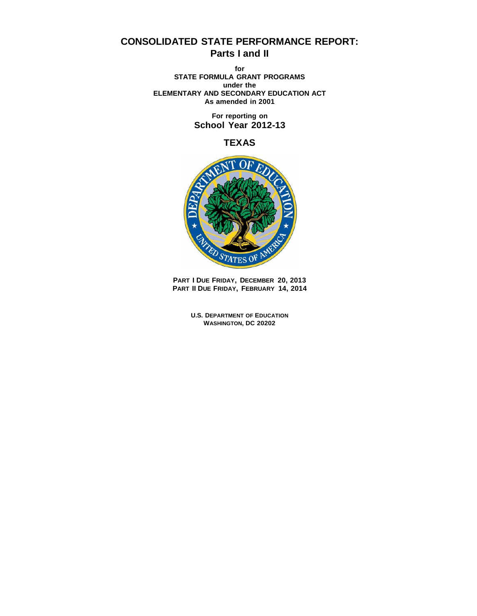# **CONSOLIDATED STATE PERFORMANCE REPORT: Parts I and II**

**for STATE FORMULA GRANT PROGRAMS under the ELEMENTARY AND SECONDARY EDUCATION ACT As amended in 2001**

> **For reporting on School Year 2012-13**

> > **TEXAS**



**PART I DUE FRIDAY, DECEMBER 20, 2013 PART II DUE FRIDAY, FEBRUARY 14, 2014**

> **U.S. DEPARTMENT OF EDUCATION WASHINGTON, DC 20202**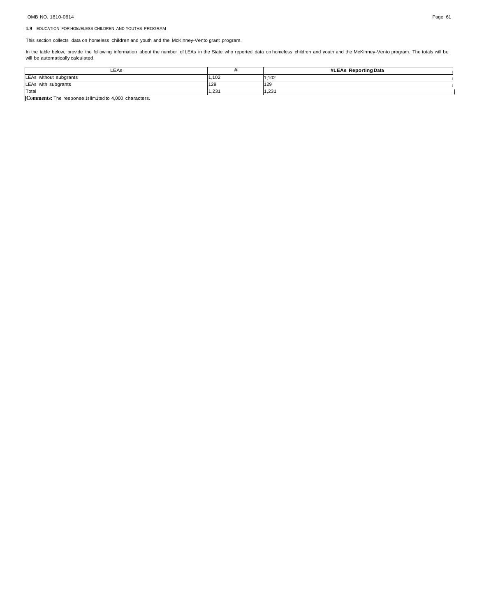# OMB NO. 1810-0614 Page 61

## **1.9** EDUCATION FOR HOfo/ELESS CHILDREN AND YOUTHS PROGRAM

This section collects data on homeless children and youth and the McKinney-Vento grant program.

In the table below, provide the following information about the number of LEAs in the State who reported data on homeless children and youth and the McKinney-Vento program. The totals will be will be automatically calculated.

| LEAS                   |       | #LEAs Reporting Data |
|------------------------|-------|----------------------|
| LEAs without subgrants | .102  | 1.102                |
| LEAs with subgrants    | 129   | 129                  |
| Total                  | 1.23' | 1.231                |

**]Comments:** The response 1s llm1ted to 4,000 characters.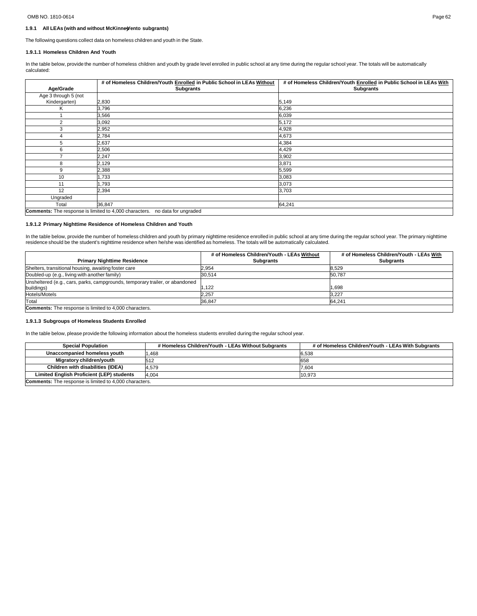# OMB NO. 1810-0614 Page 62

#### **1.9.1 All LEAs (with and without McKinne-yVento subgrants)**

The following questions collect data on homeless children and youth in the State.

## **1.9.1.1 Homeless Children And Youth**

In the table below, provide the number of homeless children and youth by grade level enrolled in public school at any time during the regular school year. The totals will be automatically calculated:

|                                                                             | # of Homeless Children/Youth Enrolled in Public School in LEAs Without | # of Homeless Children/Youth Enrolled in Public School in LEAs With |  |  |
|-----------------------------------------------------------------------------|------------------------------------------------------------------------|---------------------------------------------------------------------|--|--|
| Age/Grade                                                                   | <b>Subgrants</b>                                                       | <b>Subgrants</b>                                                    |  |  |
| Age 3 through 5 (not                                                        |                                                                        |                                                                     |  |  |
| Kindergarten)                                                               | 2,830                                                                  | 5,149                                                               |  |  |
| Κ                                                                           | 3,796                                                                  | 6,236                                                               |  |  |
|                                                                             | 3,566                                                                  | 6,039                                                               |  |  |
| 2                                                                           | 3,092                                                                  | 5,172                                                               |  |  |
| 3                                                                           | 2,952                                                                  | 4,928                                                               |  |  |
| 4                                                                           | 2,784                                                                  | 4,673                                                               |  |  |
| 5                                                                           | 2,637                                                                  | 4,384                                                               |  |  |
| 6                                                                           | 2,506                                                                  | 4,429                                                               |  |  |
|                                                                             | 2,247                                                                  | 3,902                                                               |  |  |
| 8                                                                           | 2,129                                                                  | 3,871                                                               |  |  |
| 9                                                                           | 2,388                                                                  | 5,599                                                               |  |  |
| 10                                                                          | 1,733                                                                  | 3,083                                                               |  |  |
| 11                                                                          | 1,793                                                                  | 3,073                                                               |  |  |
| 12                                                                          | 2,394                                                                  | 3,703                                                               |  |  |
| Ungraded                                                                    |                                                                        |                                                                     |  |  |
| Total                                                                       | 36,847                                                                 | 64,241                                                              |  |  |
| Comments: The response is limited to 4,000 characters. no data for ungraded |                                                                        |                                                                     |  |  |

# **1.9.1.2 Primary Nighttime Residence of Homeless Children and Youth**

In the table below, provide the number of homeless children and youth by primary nighttime residence enrolled in public school at any time during the regular school year. The primary nighttime<br>residence should be the stude

|                                                                              | # of Homeless Children/Youth - LEAs Without | # of Homeless Children/Youth - LEAs With |
|------------------------------------------------------------------------------|---------------------------------------------|------------------------------------------|
| <b>Primary Nighttime Residence</b>                                           | <b>Subgrants</b>                            | <b>Subgrants</b>                         |
| Shelters, transitional housing, awaiting foster care                         | 2.954                                       | 8.529                                    |
| Doubled-up (e.g., living with another family)                                | 30.514                                      | 50,787                                   |
| Unsheltered (e.g., cars, parks, campgrounds, temporary trailer, or abandoned |                                             |                                          |
| buildings)                                                                   | .122                                        | 1.698                                    |
| Hotels/Motels                                                                | 2.257                                       | 3.227                                    |
| Total                                                                        | 36.847                                      | 64.241                                   |
| <b>Comments:</b> The response is limited to 4,000 characters.                |                                             |                                          |

## **1.9.1.3 Subgroups of Homeless Students Enrolled**

In the table below, please provide the following information about the homeless students enrolled during the regular school year.

| <b>Special Population</b>                                     | # Homeless Children/Youth - LEAs Without Subgrants | # of Homeless Children/Youth - LEAs With Subgrants |  |
|---------------------------------------------------------------|----------------------------------------------------|----------------------------------------------------|--|
| Unaccompanied homeless youth                                  | .468                                               | 6.538                                              |  |
| Migratory children/youth                                      | 512                                                | 658                                                |  |
| Children with disabilities (IDEA)                             | 4.579                                              | 7.604                                              |  |
| Limited English Proficient (LEP) students                     | 4.004                                              | 10.973                                             |  |
| <b>Comments:</b> The response is limited to 4,000 characters. |                                                    |                                                    |  |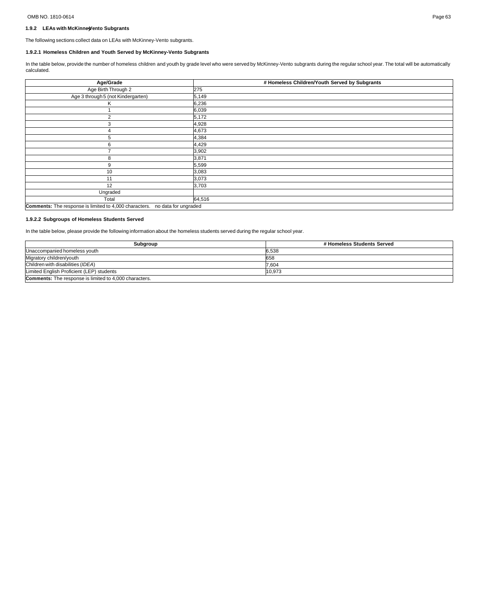# OMB NO. 1810-0614 Page 63

# **1.9.2 LEAs with McKinne-yVento Subgrants**

The following sections collect data on LEAs with McKinney-Vento subgrants.

# **1.9.2.1 Homeless Children and Youth Served by McKinney-Vento Subgrants**

In the table below, provide the number of homeless children and youth by grade level who were served by McKinney-Vento subgrants during the regular school year. The total will be automatically calculated.

| Age/Grade                                              | # Homeless Children/Youth Served by Subgrants |  |  |  |
|--------------------------------------------------------|-----------------------------------------------|--|--|--|
| Age Birth Through 2                                    | 275                                           |  |  |  |
| Age 3 through 5 (not Kindergarten)                     | 5,149                                         |  |  |  |
| Κ                                                      | 6,236                                         |  |  |  |
|                                                        | 6,039                                         |  |  |  |
| $\overline{2}$                                         | 5,172                                         |  |  |  |
| 3                                                      | 4,928                                         |  |  |  |
|                                                        | 4,673                                         |  |  |  |
| 5                                                      | 4,384                                         |  |  |  |
| 6                                                      | 4,429                                         |  |  |  |
|                                                        | 3,902                                         |  |  |  |
| 8                                                      | 3,871                                         |  |  |  |
| 9                                                      | 5,599                                         |  |  |  |
| 10                                                     | 3,083                                         |  |  |  |
| 11                                                     | 3,073                                         |  |  |  |
| 12                                                     | 3,703                                         |  |  |  |
| Ungraded                                               |                                               |  |  |  |
| Total                                                  | 64,516                                        |  |  |  |
| Comments: The response is limited to 4,000 characters. | no data for ungraded                          |  |  |  |

# **1.9.2.2 Subgroups of Homeless Students Served**

In the table below, please provide the following information about the homeless students served during the regular school year.

| Subgroup                                                      | # Homeless Students Served |  |
|---------------------------------------------------------------|----------------------------|--|
| Unaccompanied homeless youth                                  | 6.538                      |  |
| Migratory children/youth                                      | 658                        |  |
| Children with disabilities (IDEA)                             | 7,604                      |  |
| Limited English Proficient (LEP) students                     | 10.973                     |  |
| <b>Comments:</b> The response is limited to 4,000 characters. |                            |  |